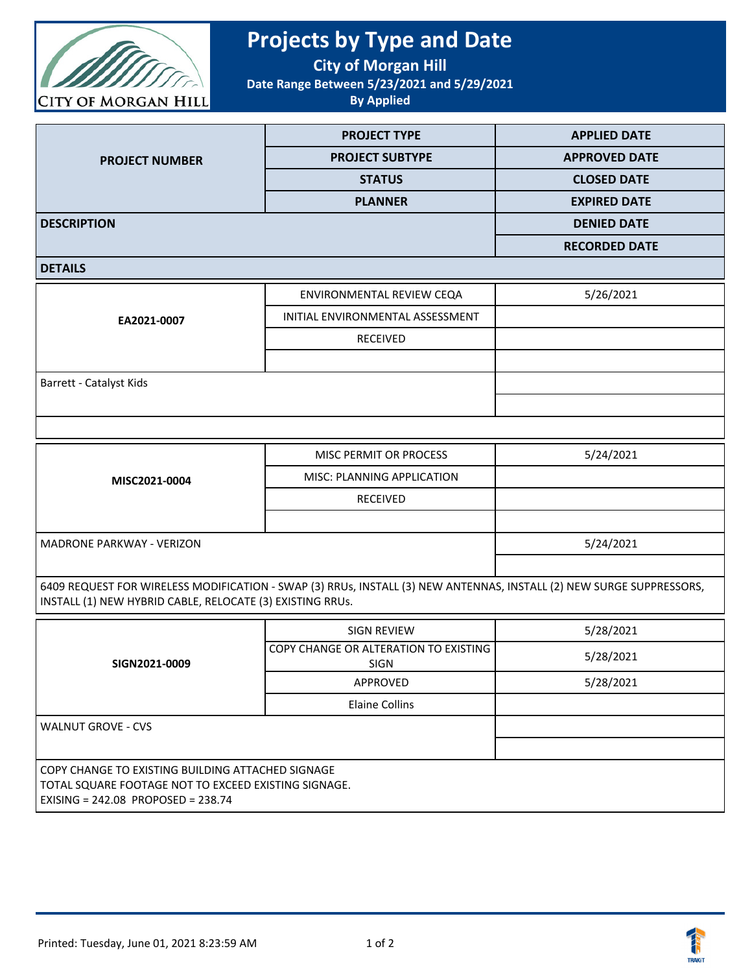

## **Projects by Type and Date**

**City of Morgan Hill**

**Date Range Between 5/23/2021 and 5/29/2021**

**By Applied**

|                       | <b>PROJECT TYPE</b>    | <b>APPLIED DATE</b>  |
|-----------------------|------------------------|----------------------|
| <b>PROJECT NUMBER</b> | <b>PROJECT SUBTYPE</b> | <b>APPROVED DATE</b> |
|                       | <b>STATUS</b>          | <b>CLOSED DATE</b>   |
|                       | <b>PLANNER</b>         | <b>EXPIRED DATE</b>  |
| <b>DESCRIPTION</b>    |                        | <b>DENIED DATE</b>   |
|                       |                        | <b>RECORDED DATE</b> |
|                       |                        |                      |

## **DETAILS**

| EA2021-0007             | ENVIRONMENTAL REVIEW CEQA        | 5/26/2021 |
|-------------------------|----------------------------------|-----------|
|                         | INITIAL ENVIRONMENTAL ASSESSMENT |           |
|                         | <b>RECEIVED</b>                  |           |
|                         |                                  |           |
| Barrett - Catalyst Kids |                                  |           |
|                         |                                  |           |

| MISC2021-0004                    | MISC PERMIT OR PROCESS     | 5/24/2021 |
|----------------------------------|----------------------------|-----------|
|                                  | MISC: PLANNING APPLICATION |           |
|                                  | <b>RECEIVED</b>            |           |
|                                  |                            |           |
| <b>MADRONE PARKWAY - VERIZON</b> |                            | 5/24/2021 |
|                                  |                            |           |

6409 REQUEST FOR WIRELESS MODIFICATION - SWAP (3) RRUs, INSTALL (3) NEW ANTENNAS, INSTALL (2) NEW SURGE SUPPRESSORS, INSTALL (1) NEW HYBRID CABLE, RELOCATE (3) EXISTING RRUs.

| SIGN2021-0009                                                                                                                                       | <b>SIGN REVIEW</b>                                     | 5/28/2021 |  |
|-----------------------------------------------------------------------------------------------------------------------------------------------------|--------------------------------------------------------|-----------|--|
|                                                                                                                                                     | COPY CHANGE OR ALTERATION TO EXISTING I<br><b>SIGN</b> | 5/28/2021 |  |
|                                                                                                                                                     | APPROVED                                               | 5/28/2021 |  |
|                                                                                                                                                     | <b>Elaine Collins</b>                                  |           |  |
| <b>WALNUT GROVE - CVS</b>                                                                                                                           |                                                        |           |  |
|                                                                                                                                                     |                                                        |           |  |
| COPY CHANGE TO EXISTING BUILDING ATTACHED SIGNAGE<br>TOTAL SQUARE FOOTAGE NOT TO EXCEED EXISTING SIGNAGE.<br>EXISING = $242.08$ PROPOSED = $238.74$ |                                                        |           |  |

**TRAKi**